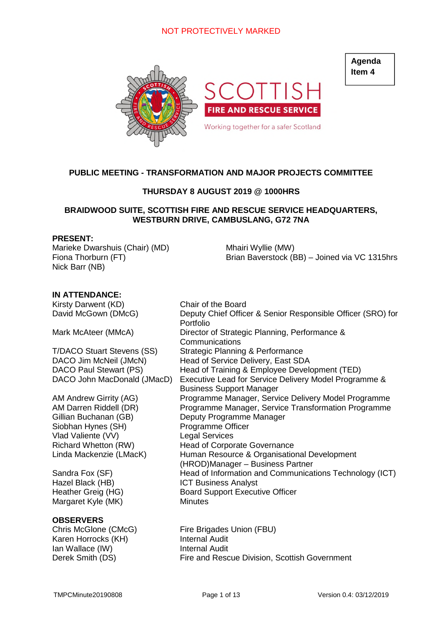# NOT PROTECTIVELY MARKED



**Agenda Item 4**

# **PUBLIC MEETING - TRANSFORMATION AND MAJOR PROJECTS COMMITTEE**

# **THURSDAY 8 AUGUST 2019 @ 1000HRS**

## **BRAIDWOOD SUITE, SCOTTISH FIRE AND RESCUE SERVICE HEADQUARTERS, WESTBURN DRIVE, CAMBUSLANG, G72 7NA**

### **PRESENT:**

Marieke Dwarshuis (Chair) (MD) Fiona Thorburn (FT) Nick Barr (NB)

Mhairi Wyllie (MW) Brian Baverstock (BB) – Joined via VC 1315hrs

## **IN ATTENDANCE:**

Kirsty Darwent (KD) Chair of the Board

Siobhan Hynes (SH) Programme Officer Vlad Valiente (VV) Legal Services

Margaret Kyle (MK) Minutes

## **OBSERVERS**

Karen Horrocks (KH) Internal Audit Ian Wallace (IW) **Internal Audit** 

David McGown (DMcG) Deputy Chief Officer & Senior Responsible Officer (SRO) for Portfolio Mark McAteer (MMcA) Director of Strategic Planning, Performance & Communications T/DACO Stuart Stevens (SS) Strategic Planning & Performance DACO Jim McNeil (JMcN) Head of Service Delivery, East SDA DACO Paul Stewart (PS) Head of Training & Employee Development (TED) DACO John MacDonald (JMacD) Executive Lead for Service Delivery Model Programme & Business Support Manager AM Andrew Girrity (AG) Programme Manager, Service Delivery Model Programme AM Darren Riddell (DR) Programme Manager, Service Transformation Programme Gillian Buchanan (GB) Deputy Programme Manager Richard Whetton (RW) Head of Corporate Governance Linda Mackenzie (LMacK) Human Resource & Organisational Development (HROD)Manager – Business Partner Sandra Fox (SF) Head of Information and Communications Technology (ICT) Hazel Black (HB) ICT Business Analyst<br>
Heather Greig (HG) Board Support Execut Board Support Executive Officer

Chris McGlone (CMcG) Fire Brigades Union (FBU) Derek Smith (DS) Fire and Rescue Division, Scottish Government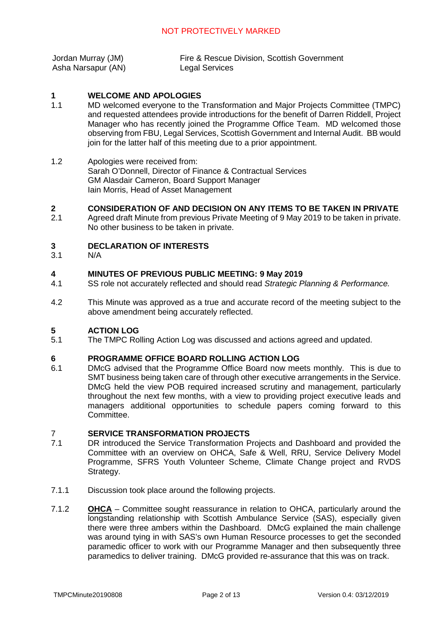| Jordan Murray (JM) | Fire & Rescue Division, Scottish Government |
|--------------------|---------------------------------------------|
| Asha Narsapur (AN) | <b>Legal Services</b>                       |

#### **1 WELCOME AND APOLOGIES**

- 1.1 MD welcomed everyone to the Transformation and Major Projects Committee (TMPC) and requested attendees provide introductions for the benefit of Darren Riddell, Project Manager who has recently joined the Programme Office Team. MD welcomed those observing from FBU, Legal Services, Scottish Government and Internal Audit. BB would join for the latter half of this meeting due to a prior appointment.
- 1.2 Apologies were received from: Sarah O'Donnell, Director of Finance & Contractual Services GM Alasdair Cameron, Board Support Manager Iain Morris, Head of Asset Management

#### **2 CONSIDERATION OF AND DECISION ON ANY ITEMS TO BE TAKEN IN PRIVATE**

2.1 Agreed draft Minute from previous Private Meeting of 9 May 2019 to be taken in private. No other business to be taken in private.

#### **3 DECLARATION OF INTERESTS**

3.1 N/A

#### **4 MINUTES OF PREVIOUS PUBLIC MEETING: 9 May 2019**

- 4.1 SS role not accurately reflected and should read *Strategic Planning & Performance.*
- 4.2 This Minute was approved as a true and accurate record of the meeting subject to the above amendment being accurately reflected.

#### **5 ACTION LOG**

5.1 The TMPC Rolling Action Log was discussed and actions agreed and updated.

#### **6 PROGRAMME OFFICE BOARD ROLLING ACTION LOG**

6.1 DMcG advised that the Programme Office Board now meets monthly. This is due to SMT business being taken care of through other executive arrangements in the Service. DMcG held the view POB required increased scrutiny and management, particularly throughout the next few months, with a view to providing project executive leads and managers additional opportunities to schedule papers coming forward to this Committee.

### 7 **SERVICE TRANSFORMATION PROJECTS**

- 7.1 DR introduced the Service Transformation Projects and Dashboard and provided the Committee with an overview on OHCA, Safe & Well, RRU, Service Delivery Model Programme, SFRS Youth Volunteer Scheme, Climate Change project and RVDS Strategy.
- 7.1.1 Discussion took place around the following projects.
- 7.1.2 **OHCA** – Committee sought reassurance in relation to OHCA, particularly around the longstanding relationship with Scottish Ambulance Service (SAS), especially given there were three ambers within the Dashboard. DMcG explained the main challenge was around tying in with SAS's own Human Resource processes to get the seconded paramedic officer to work with our Programme Manager and then subsequently three paramedics to deliver training. DMcG provided re-assurance that this was on track.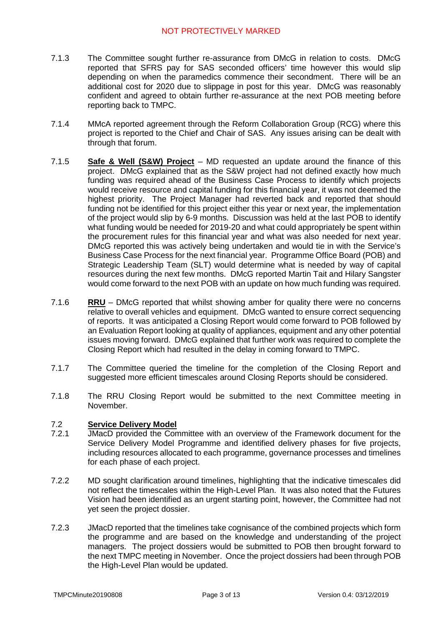- 7.1.3 The Committee sought further re-assurance from DMcG in relation to costs. DMcG reported that SFRS pay for SAS seconded officers' time however this would slip depending on when the paramedics commence their secondment. There will be an additional cost for 2020 due to slippage in post for this year. DMcG was reasonably confident and agreed to obtain further re-assurance at the next POB meeting before reporting back to TMPC.
- 7.1.4 MMcA reported agreement through the Reform Collaboration Group (RCG) where this project is reported to the Chief and Chair of SAS. Any issues arising can be dealt with through that forum.
- 7.1.5 **Safe & Well (S&W) Project** – MD requested an update around the finance of this project. DMcG explained that as the S&W project had not defined exactly how much funding was required ahead of the Business Case Process to identify which projects would receive resource and capital funding for this financial year, it was not deemed the highest priority. The Project Manager had reverted back and reported that should funding not be identified for this project either this year or next year, the implementation of the project would slip by 6-9 months. Discussion was held at the last POB to identify what funding would be needed for 2019-20 and what could appropriately be spent within the procurement rules for this financial year and what was also needed for next year. DMcG reported this was actively being undertaken and would tie in with the Service's Business Case Process for the next financial year. Programme Office Board (POB) and Strategic Leadership Team (SLT) would determine what is needed by way of capital resources during the next few months. DMcG reported Martin Tait and Hilary Sangster would come forward to the next POB with an update on how much funding was required.
- 7.1.6 **RRU** – DMcG reported that whilst showing amber for quality there were no concerns relative to overall vehicles and equipment. DMcG wanted to ensure correct sequencing of reports. It was anticipated a Closing Report would come forward to POB followed by an Evaluation Report looking at quality of appliances, equipment and any other potential issues moving forward. DMcG explained that further work was required to complete the Closing Report which had resulted in the delay in coming forward to TMPC.
- 7.1.7 The Committee queried the timeline for the completion of the Closing Report and suggested more efficient timescales around Closing Reports should be considered.
- 7.1.8 The RRU Closing Report would be submitted to the next Committee meeting in November.

#### 7.2 **Service Delivery Model**

- 7.2.1 JMacD provided the Committee with an overview of the Framework document for the Service Delivery Model Programme and identified delivery phases for five projects, including resources allocated to each programme, governance processes and timelines for each phase of each project.
- 7.2.2 MD sought clarification around timelines, highlighting that the indicative timescales did not reflect the timescales within the High-Level Plan. It was also noted that the Futures Vision had been identified as an urgent starting point, however, the Committee had not yet seen the project dossier.
- 7.2.3 JMacD reported that the timelines take cognisance of the combined projects which form the programme and are based on the knowledge and understanding of the project managers. The project dossiers would be submitted to POB then brought forward to the next TMPC meeting in November. Once the project dossiers had been through POB the High-Level Plan would be updated.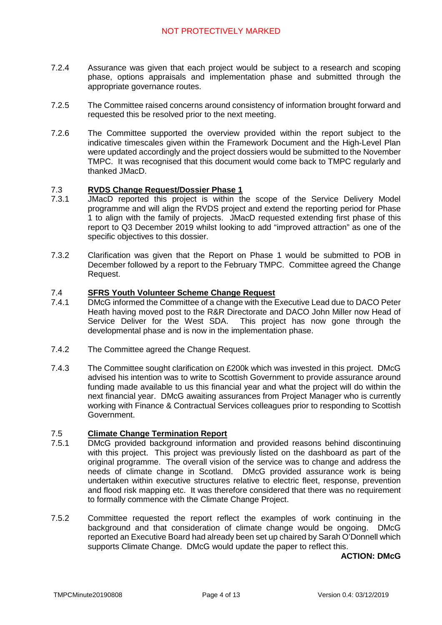- 7.2.4 Assurance was given that each project would be subject to a research and scoping phase, options appraisals and implementation phase and submitted through the appropriate governance routes.
- 7.2.5 The Committee raised concerns around consistency of information brought forward and requested this be resolved prior to the next meeting.
- 7.2.6 The Committee supported the overview provided within the report subject to the indicative timescales given within the Framework Document and the High-Level Plan were updated accordingly and the project dossiers would be submitted to the November TMPC. It was recognised that this document would come back to TMPC regularly and thanked JMacD.

#### 7.3 **RVDS Change Request/Dossier Phase 1**

- 7.3.1 JMacD reported this project is within the scope of the Service Delivery Model programme and will align the RVDS project and extend the reporting period for Phase 1 to align with the family of projects. JMacD requested extending first phase of this report to Q3 December 2019 whilst looking to add "improved attraction" as one of the specific objectives to this dossier.
- 7.3.2 Clarification was given that the Report on Phase 1 would be submitted to POB in December followed by a report to the February TMPC. Committee agreed the Change Request.

#### 7.4 **SFRS Youth Volunteer Scheme Change Request**

- 7.4.1 DMcG informed the Committee of a change with the Executive Lead due to DACO Peter Heath having moved post to the R&R Directorate and DACO John Miller now Head of Service Deliver for the West SDA. This project has now gone through the developmental phase and is now in the implementation phase.
- 7.4.2 The Committee agreed the Change Request.
- 7.4.3 The Committee sought clarification on £200k which was invested in this project. DMcG advised his intention was to write to Scottish Government to provide assurance around funding made available to us this financial year and what the project will do within the next financial year. DMcG awaiting assurances from Project Manager who is currently working with Finance & Contractual Services colleagues prior to responding to Scottish Government.

#### 7.5 **Climate Change Termination Report**

- 7.5.1 DMcG provided background information and provided reasons behind discontinuing with this project. This project was previously listed on the dashboard as part of the original programme. The overall vision of the service was to change and address the needs of climate change in Scotland. DMcG provided assurance work is being undertaken within executive structures relative to electric fleet, response, prevention and flood risk mapping etc. It was therefore considered that there was no requirement to formally commence with the Climate Change Project.
- 7.5.2 Committee requested the report reflect the examples of work continuing in the background and that consideration of climate change would be ongoing. DMcG reported an Executive Board had already been set up chaired by Sarah O'Donnell which supports Climate Change. DMcG would update the paper to reflect this.

**ACTION: DMcG**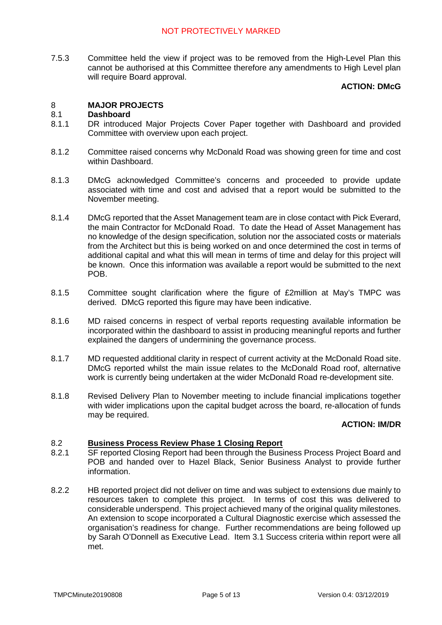7.5.3 Committee held the view if project was to be removed from the High-Level Plan this cannot be authorised at this Committee therefore any amendments to High Level plan will require Board approval.

## **ACTION: DMcG**

### 8 **MAJOR PROJECTS**

#### 8.1 **Dashboard**

- 8.1.1 DR introduced Major Projects Cover Paper together with Dashboard and provided Committee with overview upon each project.
- 8.1.2 Committee raised concerns why McDonald Road was showing green for time and cost within Dashboard.
- 8.1.3 DMcG acknowledged Committee's concerns and proceeded to provide update associated with time and cost and advised that a report would be submitted to the November meeting.
- 8.1.4 DMcG reported that the Asset Management team are in close contact with Pick Everard, the main Contractor for McDonald Road. To date the Head of Asset Management has no knowledge of the design specification, solution nor the associated costs or materials from the Architect but this is being worked on and once determined the cost in terms of additional capital and what this will mean in terms of time and delay for this project will be known. Once this information was available a report would be submitted to the next POB.
- 8.1.5 Committee sought clarification where the figure of £2million at May's TMPC was derived. DMcG reported this figure may have been indicative.
- 8.1.6 MD raised concerns in respect of verbal reports requesting available information be incorporated within the dashboard to assist in producing meaningful reports and further explained the dangers of undermining the governance process.
- 8.1.7 MD requested additional clarity in respect of current activity at the McDonald Road site. DMcG reported whilst the main issue relates to the McDonald Road roof, alternative work is currently being undertaken at the wider McDonald Road re-development site.
- 8.1.8 Revised Delivery Plan to November meeting to include financial implications together with wider implications upon the capital budget across the board, re-allocation of funds may be required.

## **ACTION: IM/DR**

#### 8.2 **Business Process Review Phase 1 Closing Report**

- 8.2.1 SF reported Closing Report had been through the Business Process Project Board and POB and handed over to Hazel Black, Senior Business Analyst to provide further information.
- 8.2.2 HB reported project did not deliver on time and was subject to extensions due mainly to resources taken to complete this project. In terms of cost this was delivered to considerable underspend. This project achieved many of the original quality milestones. An extension to scope incorporated a Cultural Diagnostic exercise which assessed the organisation's readiness for change. Further recommendations are being followed up by Sarah O'Donnell as Executive Lead. Item 3.1 Success criteria within report were all met.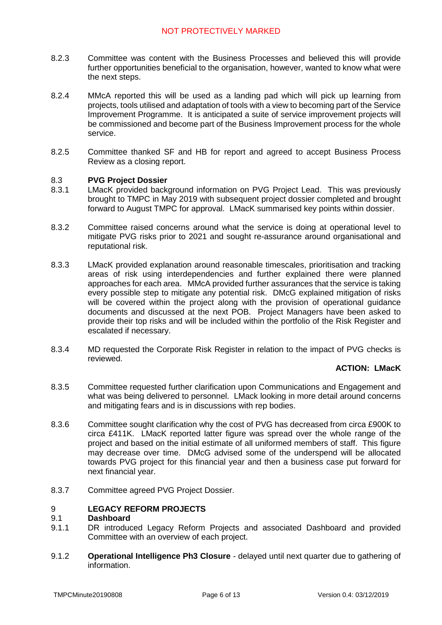- 8.2.3 Committee was content with the Business Processes and believed this will provide further opportunities beneficial to the organisation, however, wanted to know what were the next steps.
- 8.2.4 MMcA reported this will be used as a landing pad which will pick up learning from projects, tools utilised and adaptation of tools with a view to becoming part of the Service Improvement Programme. It is anticipated a suite of service improvement projects will be commissioned and become part of the Business Improvement process for the whole service.
- 8.2.5 Committee thanked SF and HB for report and agreed to accept Business Process Review as a closing report.

#### 8.3 **PVG Project Dossier**

- 8.3.1 LMacK provided background information on PVG Project Lead. This was previously brought to TMPC in May 2019 with subsequent project dossier completed and brought forward to August TMPC for approval. LMacK summarised key points within dossier.
- 8.3.2 Committee raised concerns around what the service is doing at operational level to mitigate PVG risks prior to 2021 and sought re-assurance around organisational and reputational risk.
- 8.3.3 LMacK provided explanation around reasonable timescales, prioritisation and tracking areas of risk using interdependencies and further explained there were planned approaches for each area. MMcA provided further assurances that the service is taking every possible step to mitigate any potential risk. DMcG explained mitigation of risks will be covered within the project along with the provision of operational guidance documents and discussed at the next POB. Project Managers have been asked to provide their top risks and will be included within the portfolio of the Risk Register and escalated if necessary.
- 8.3.4 MD requested the Corporate Risk Register in relation to the impact of PVG checks is reviewed.

# **ACTION: LMacK**

- 8.3.5 Committee requested further clarification upon Communications and Engagement and what was being delivered to personnel. LMack looking in more detail around concerns and mitigating fears and is in discussions with rep bodies.
- 8.3.6 Committee sought clarification why the cost of PVG has decreased from circa £900K to circa £411K. LMacK reported latter figure was spread over the whole range of the project and based on the initial estimate of all uniformed members of staff. This figure may decrease over time. DMcG advised some of the underspend will be allocated towards PVG project for this financial year and then a business case put forward for next financial year.
- 8.3.7 Committee agreed PVG Project Dossier.

#### 9 **LEGACY REFORM PROJECTS**

#### 9.1 **Dashboard**

- 9.1.1 DR introduced Legacy Reform Projects and associated Dashboard and provided Committee with an overview of each project.
- 9.1.2 **Operational Intelligence Ph3 Closure** - delayed until next quarter due to gathering of information.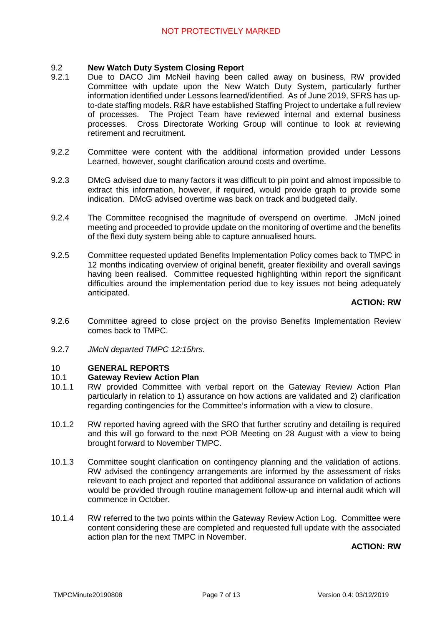#### 9.2 **New Watch Duty System Closing Report**

- 9.2.1 Due to DACO Jim McNeil having been called away on business, RW provided Committee with update upon the New Watch Duty System, particularly further information identified under Lessons learned/identified. As of June 2019, SFRS has upto-date staffing models. R&R have established Staffing Project to undertake a full review of processes. The Project Team have reviewed internal and external business processes. Cross Directorate Working Group will continue to look at reviewing retirement and recruitment.
- 9.2. Committee were content with the additional information provided under Lessons Learned, however, sought clarification around costs and overtime.
- 9.2.3 DMcG advised due to many factors it was difficult to pin point and almost impossible to extract this information, however, if required, would provide graph to provide some indication. DMcG advised overtime was back on track and budgeted daily.
- 9.2.4 The Committee recognised the magnitude of overspend on overtime. JMcN joined meeting and proceeded to provide update on the monitoring of overtime and the benefits of the flexi duty system being able to capture annualised hours.
- 9.2.5 Committee requested updated Benefits Implementation Policy comes back to TMPC in 12 months indicating overview of original benefit, greater flexibility and overall savings having been realised. Committee requested highlighting within report the significant difficulties around the implementation period due to key issues not being adequately anticipated.

# **ACTION: RW**

- 9.2.6 Committee agreed to close project on the proviso Benefits Implementation Review comes back to TMPC.
- 9.2.7 *JMcN departed TMPC 12:15hrs.*

#### 10 **GENERAL REPORTS**

#### 10.1 **Gateway Review Action Plan**

- 10.1.1 RW provided Committee with verbal report on the Gateway Review Action Plan particularly in relation to 1) assurance on how actions are validated and 2) clarification regarding contingencies for the Committee's information with a view to closure.
- 10.1.2 RW reported having agreed with the SRO that further scrutiny and detailing is required and this will go forward to the next POB Meeting on 28 August with a view to being brought forward to November TMPC.
- 10.1.3 Committee sought clarification on contingency planning and the validation of actions. RW advised the contingency arrangements are informed by the assessment of risks relevant to each project and reported that additional assurance on validation of actions would be provided through routine management follow-up and internal audit which will commence in October.
- 10.1.4 RW referred to the two points within the Gateway Review Action Log. Committee were content considering these are completed and requested full update with the associated action plan for the next TMPC in November.

**ACTION: RW**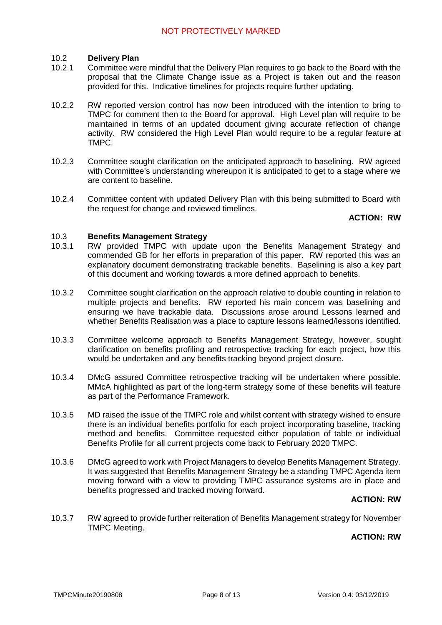#### 10.2 **Delivery Plan**

- 10.2.1 Committee were mindful that the Delivery Plan requires to go back to the Board with the proposal that the Climate Change issue as a Project is taken out and the reason provided for this. Indicative timelines for projects require further updating.
- 10.2.2 RW reported version control has now been introduced with the intention to bring to TMPC for comment then to the Board for approval. High Level plan will require to be maintained in terms of an updated document giving accurate reflection of change activity. RW considered the High Level Plan would require to be a regular feature at TMPC.
- 10.2.3 Committee sought clarification on the anticipated approach to baselining. RW agreed with Committee's understanding whereupon it is anticipated to get to a stage where we are content to baseline.
- 10.2.4 Committee content with updated Delivery Plan with this being submitted to Board with the request for change and reviewed timelines.

## **ACTION: RW**

#### 10.3 **Benefits Management Strategy**

- 10.3.1 RW provided TMPC with update upon the Benefits Management Strategy and commended GB for her efforts in preparation of this paper. RW reported this was an explanatory document demonstrating trackable benefits. Baselining is also a key part of this document and working towards a more defined approach to benefits.
- 10.3.2 Committee sought clarification on the approach relative to double counting in relation to multiple projects and benefits. RW reported his main concern was baselining and ensuring we have trackable data. Discussions arose around Lessons learned and whether Benefits Realisation was a place to capture lessons learned/lessons identified.
- 10.3.3 Committee welcome approach to Benefits Management Strategy, however, sought clarification on benefits profiling and retrospective tracking for each project, how this would be undertaken and any benefits tracking beyond project closure.
- 10.3.4 DMcG assured Committee retrospective tracking will be undertaken where possible. MMcA highlighted as part of the long-term strategy some of these benefits will feature as part of the Performance Framework.
- 10.3.5 MD raised the issue of the TMPC role and whilst content with strategy wished to ensure there is an individual benefits portfolio for each project incorporating baseline, tracking method and benefits. Committee requested either population of table or individual Benefits Profile for all current projects come back to February 2020 TMPC.
- 10.3.6 DMcG agreed to work with Project Managers to develop Benefits Management Strategy. It was suggested that Benefits Management Strategy be a standing TMPC Agenda item moving forward with a view to providing TMPC assurance systems are in place and benefits progressed and tracked moving forward.

## **ACTION: RW**

10.3.7 RW agreed to provide further reiteration of Benefits Management strategy for November TMPC Meeting.

## **ACTION: RW**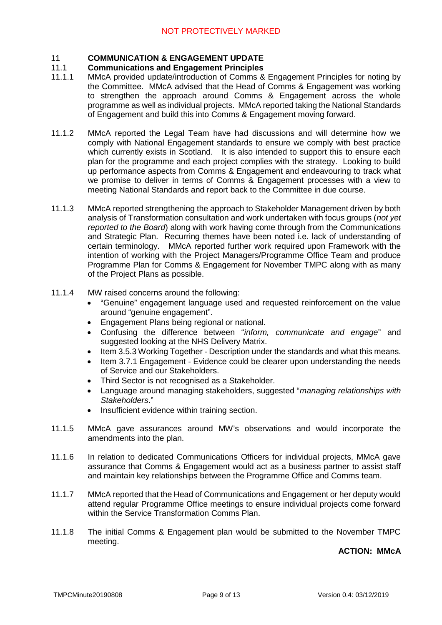### 11 **COMMUNICATION & ENGAGEMENT UPDATE**

### 11.1 **Communications and Engagement Principles**

- 11.1.1 MMcA provided update/introduction of Comms & Engagement Principles for noting by the Committee. MMcA advised that the Head of Comms & Engagement was working to strengthen the approach around Comms & Engagement across the whole programme as well as individual projects. MMcA reported taking the National Standards of Engagement and build this into Comms & Engagement moving forward.
- 11.1.2 MMcA reported the Legal Team have had discussions and will determine how we comply with National Engagement standards to ensure we comply with best practice which currently exists in Scotland. It is also intended to support this to ensure each plan for the programme and each project complies with the strategy. Looking to build up performance aspects from Comms & Engagement and endeavouring to track what we promise to deliver in terms of Comms & Engagement processes with a view to meeting National Standards and report back to the Committee in due course.
- 11.1.3 MMcA reported strengthening the approach to Stakeholder Management driven by both analysis of Transformation consultation and work undertaken with focus groups (*not yet reported to the Board*) along with work having come through from the Communications and Strategic Plan. Recurring themes have been noted i.e. lack of understanding of certain terminology. MMcA reported further work required upon Framework with the intention of working with the Project Managers/Programme Office Team and produce Programme Plan for Comms & Engagement for November TMPC along with as many of the Project Plans as possible.
- 11.1.4 MW raised concerns around the following:
	- "Genuine" engagement language used and requested reinforcement on the value around "genuine engagement".
	- Engagement Plans being regional or national.
	- Confusing the difference between "*inform, communicate and engage*" and suggested looking at the NHS Delivery Matrix.
	- Item 3.5.3 Working Together Description under the standards and what this means.
	- Item 3.7.1 Engagement Evidence could be clearer upon understanding the needs of Service and our Stakeholders.
	- Third Sector is not recognised as a Stakeholder.
	- Language around managing stakeholders, suggested "*managing relationships with Stakeholders*."
	- Insufficient evidence within training section.
- 11.1.5 MMcA gave assurances around MW's observations and would incorporate the amendments into the plan.
- 11.1.6 In relation to dedicated Communications Officers for individual projects, MMcA gave assurance that Comms & Engagement would act as a business partner to assist staff and maintain key relationships between the Programme Office and Comms team.
- 11.1.7 MMcA reported that the Head of Communications and Engagement or her deputy would attend regular Programme Office meetings to ensure individual projects come forward within the Service Transformation Comms Plan.
- 11.1.8 The initial Comms & Engagement plan would be submitted to the November TMPC meeting.

# **ACTION: MMcA**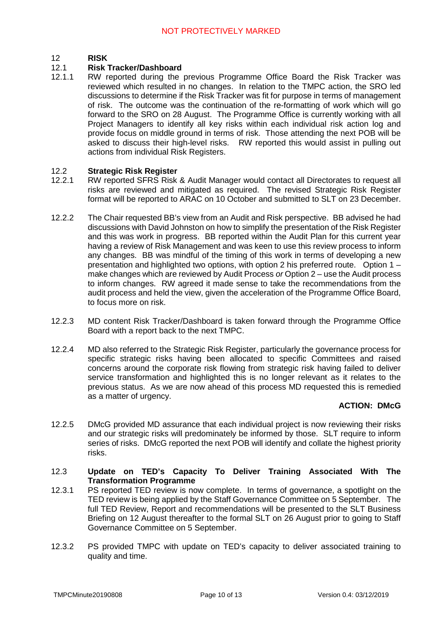#### 12 **RISK**

### 12.1 **Risk Tracker/Dashboard**

12.1.1 RW reported during the previous Programme Office Board the Risk Tracker was reviewed which resulted in no changes. In relation to the TMPC action, the SRO led discussions to determine if the Risk Tracker was fit for purpose in terms of management of risk. The outcome was the continuation of the re-formatting of work which will go forward to the SRO on 28 August. The Programme Office is currently working with all Project Managers to identify all key risks within each individual risk action log and provide focus on middle ground in terms of risk. Those attending the next POB will be asked to discuss their high-level risks. RW reported this would assist in pulling out actions from individual Risk Registers.

#### 12.2 **Strategic Risk Register**

- 12.2.1 RW reported SFRS Risk & Audit Manager would contact all Directorates to request all risks are reviewed and mitigated as required. The revised Strategic Risk Register format will be reported to ARAC on 10 October and submitted to SLT on 23 December.
- 12.2.2 The Chair requested BB's view from an Audit and Risk perspective. BB advised he had discussions with David Johnston on how to simplify the presentation of the Risk Register and this was work in progress. BB reported within the Audit Plan for this current year having a review of Risk Management and was keen to use this review process to inform any changes. BB was mindful of the timing of this work in terms of developing a new presentation and highlighted two options, with option 2 his preferred route. Option 1 – make changes which are reviewed by Audit Process *or* Option 2 – use the Audit process to inform changes. RW agreed it made sense to take the recommendations from the audit process and held the view, given the acceleration of the Programme Office Board, to focus more on risk.
- 12.2.3 MD content Risk Tracker/Dashboard is taken forward through the Programme Office Board with a report back to the next TMPC.
- 12.2.4 MD also referred to the Strategic Risk Register, particularly the governance process for specific strategic risks having been allocated to specific Committees and raised concerns around the corporate risk flowing from strategic risk having failed to deliver service transformation and highlighted this is no longer relevant as it relates to the previous status. As we are now ahead of this process MD requested this is remedied as a matter of urgency.

# **ACTION: DMcG**

- 12.2.5 DMcG provided MD assurance that each individual project is now reviewing their risks and our strategic risks will predominately be informed by those. SLT require to inform series of risks. DMcG reported the next POB will identify and collate the highest priority risks.
- 12.3 **Update on TED's Capacity To Deliver Training Associated With The Transformation Programme**
- 12.3.1 PS reported TED review is now complete. In terms of governance, a spotlight on the TED review is being applied by the Staff Governance Committee on 5 September. The full TED Review, Report and recommendations will be presented to the SLT Business Briefing on 12 August thereafter to the formal SLT on 26 August prior to going to Staff Governance Committee on 5 September.
- 12.3.2 PS provided TMPC with update on TED's capacity to deliver associated training to quality and time.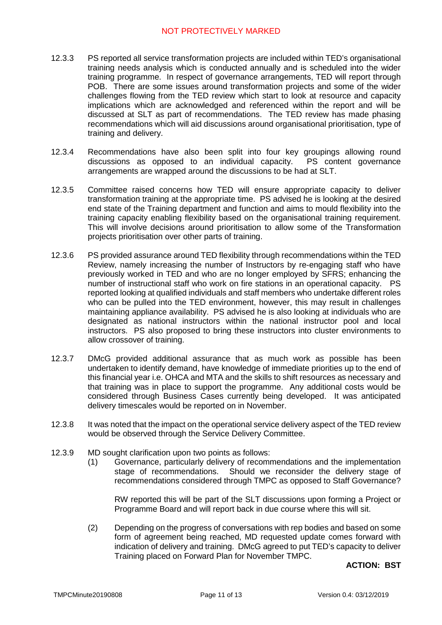# NOT PROTECTIVELY MARKED

- 12.3.3 PS reported all service transformation projects are included within TED's organisational training needs analysis which is conducted annually and is scheduled into the wider training programme. In respect of governance arrangements, TED will report through POB. There are some issues around transformation projects and some of the wider challenges flowing from the TED review which start to look at resource and capacity implications which are acknowledged and referenced within the report and will be discussed at SLT as part of recommendations. The TED review has made phasing recommendations which will aid discussions around organisational prioritisation, type of training and delivery.
- 12.3.4 Recommendations have also been split into four key groupings allowing round discussions as opposed to an individual capacity. PS content governance arrangements are wrapped around the discussions to be had at SLT.
- 12.3.5 Committee raised concerns how TED will ensure appropriate capacity to deliver transformation training at the appropriate time. PS advised he is looking at the desired end state of the Training department and function and aims to mould flexibility into the training capacity enabling flexibility based on the organisational training requirement. This will involve decisions around prioritisation to allow some of the Transformation projects prioritisation over other parts of training.
- 12.3.6 PS provided assurance around TED flexibility through recommendations within the TED Review, namely increasing the number of Instructors by re-engaging staff who have previously worked in TED and who are no longer employed by SFRS; enhancing the number of instructional staff who work on fire stations in an operational capacity. PS reported looking at qualified individuals and staff members who undertake different roles who can be pulled into the TED environment, however, this may result in challenges maintaining appliance availability. PS advised he is also looking at individuals who are designated as national instructors within the national instructor pool and local instructors. PS also proposed to bring these instructors into cluster environments to allow crossover of training.
- 12.3.7 DMcG provided additional assurance that as much work as possible has been undertaken to identify demand, have knowledge of immediate priorities up to the end of this financial year i.e. OHCA and MTA and the skills to shift resources as necessary and that training was in place to support the programme. Any additional costs would be considered through Business Cases currently being developed. It was anticipated delivery timescales would be reported on in November.
- 12.3.8 It was noted that the impact on the operational service delivery aspect of the TED review would be observed through the Service Delivery Committee.
- 12.3.9 MD sought clarification upon two points as follows:
	- (1) Governance, particularly delivery of recommendations and the implementation stage of recommendations. Should we reconsider the delivery stage of recommendations considered through TMPC as opposed to Staff Governance?

RW reported this will be part of the SLT discussions upon forming a Project or Programme Board and will report back in due course where this will sit.

(2) Depending on the progress of conversations with rep bodies and based on some form of agreement being reached, MD requested update comes forward with indication of delivery and training. DMcG agreed to put TED's capacity to deliver Training placed on Forward Plan for November TMPC.

## **ACTION: BST**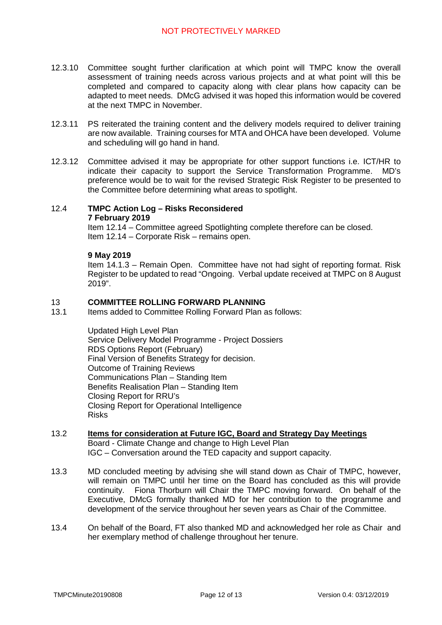- 12.3.10 Committee sought further clarification at which point will TMPC know the overall assessment of training needs across various projects and at what point will this be completed and compared to capacity along with clear plans how capacity can be adapted to meet needs. DMcG advised it was hoped this information would be covered at the next TMPC in November.
- 12.3.11 PS reiterated the training content and the delivery models required to deliver training are now available. Training courses for MTA and OHCA have been developed. Volume and scheduling will go hand in hand.
- 12.3.12 Committee advised it may be appropriate for other support functions i.e. ICT/HR to indicate their capacity to support the Service Transformation Programme. MD's preference would be to wait for the revised Strategic Risk Register to be presented to the Committee before determining what areas to spotlight.

### 12.4 **TMPC Action Log – Risks Reconsidered**

**7 February 2019**

Item 12.14 – Committee agreed Spotlighting complete therefore can be closed. Item 12.14 – Corporate Risk – remains open.

## **9 May 2019**

Item 14.1.3 – Remain Open. Committee have not had sight of reporting format. Risk Register to be updated to read "Ongoing. Verbal update received at TMPC on 8 August 2019".

#### 13 **COMMITTEE ROLLING FORWARD PLANNING**

13.1 Items added to Committee Rolling Forward Plan as follows:

> Updated High Level Plan Service Delivery Model Programme - Project Dossiers RDS Options Report (February) Final Version of Benefits Strategy for decision. Outcome of Training Reviews Communications Plan – Standing Item Benefits Realisation Plan – Standing Item Closing Report for RRU's Closing Report for Operational Intelligence Risks

- 13.2 **Items for consideration at Future IGC, Board and Strategy Day Meetings** Board - Climate Change and change to High Level Plan IGC – Conversation around the TED capacity and support capacity.
- 13.3 MD concluded meeting by advising she will stand down as Chair of TMPC, however, will remain on TMPC until her time on the Board has concluded as this will provide continuity. Fiona Thorburn will Chair the TMPC moving forward. On behalf of the Executive, DMcG formally thanked MD for her contribution to the programme and development of the service throughout her seven years as Chair of the Committee.
- 13.4 On behalf of the Board, FT also thanked MD and acknowledged her role as Chair and her exemplary method of challenge throughout her tenure.